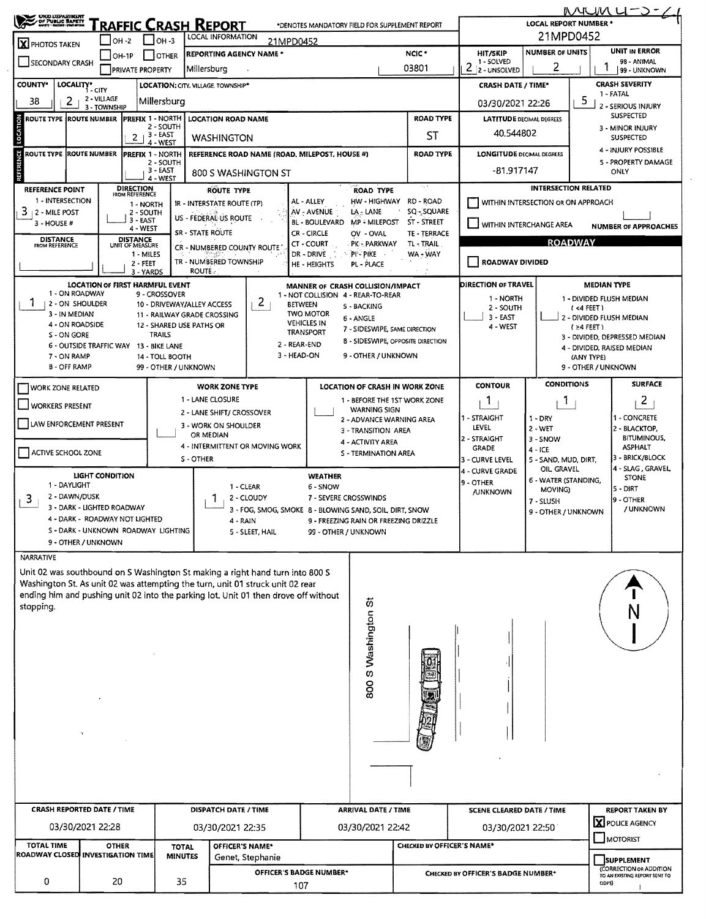| <b>CHOO UEPARISCHT</b><br>OF PUBLIC BAFETT<br>RAFFIC CRASH REPORT<br>*DENOTES MANDATORY FIELD FOR SUPPLEMENT REPORT |                                        |                                           |                                                                                                  |                                                                                     |                                 |                                                                        |                                       | <u>MUMU-J-</u><br><b>LOCAL REPORT NUMBER *</b> |                                     |                                              |                                       |  |  |
|---------------------------------------------------------------------------------------------------------------------|----------------------------------------|-------------------------------------------|--------------------------------------------------------------------------------------------------|-------------------------------------------------------------------------------------|---------------------------------|------------------------------------------------------------------------|---------------------------------------|------------------------------------------------|-------------------------------------|----------------------------------------------|---------------------------------------|--|--|
| <b>LOCAL INFORMATION</b><br>$OH -2$<br>$IOH - 3$<br>21MPD0452<br>X PHOTOS TAKEN                                     |                                        |                                           |                                                                                                  |                                                                                     |                                 |                                                                        |                                       | 21MPD0452                                      |                                     |                                              |                                       |  |  |
|                                                                                                                     | $LOH-1P$                               | OTHER                                     | NCIC <sup>+</sup><br><b>REPORTING AGENCY NAME *</b>                                              |                                                                                     |                                 |                                                                        |                                       | <b>HIT/SKIP</b>                                | <b>NUMBER OF UNITS</b>              |                                              | <b>UNIT IN ERROR</b>                  |  |  |
| SECONDARY CRASH                                                                                                     |                                        | <b>PRIVATE PROPERTY</b>                   | Millersburg                                                                                      |                                                                                     |                                 |                                                                        | 03801                                 | 1 - SOLVED<br>2<br>2 - UNSOLVED                | 2                                   |                                              | 98 - ANIMAL<br>99 - UNKNOWN           |  |  |
| <b>COUNTY*</b>                                                                                                      | LOCALITY* CITY                         | LOCATION: CITY. VILLAGE. TOWNSHIP*        |                                                                                                  |                                                                                     |                                 |                                                                        |                                       |                                                |                                     |                                              | <b>CRASH SEVERITY</b>                 |  |  |
|                                                                                                                     | 2 - VILLAGE                            |                                           |                                                                                                  |                                                                                     |                                 |                                                                        |                                       | <b>CRASH DATE / TIME*</b><br>1 - FATAL         |                                     |                                              |                                       |  |  |
| $\overline{2}$<br>38                                                                                                | 3 - TOWNSHIP                           | Millersburg                               |                                                                                                  |                                                                                     | 03/30/2021 22:26                |                                                                        | C.                                    | 2 - SERIOUS INJURY                             |                                     |                                              |                                       |  |  |
| ROUTE TYPE (ROUTE NUMBER                                                                                            |                                        | <b>PREFIX 1 - NORTH</b>                   |                                                                                                  | <b>ROAD TYPE</b><br><b>LOCATION ROAD NAME</b>                                       |                                 |                                                                        |                                       |                                                | <b>LATITUDE DECIMAL DEGREES</b>     |                                              | <b>SUSPECTED</b>                      |  |  |
| 2 - SOUTH<br>3 - EAST<br>2 <sub>1</sub><br><b>WASHINGTON</b>                                                        |                                        |                                           |                                                                                                  |                                                                                     | ST                              |                                                                        |                                       | 40.544802                                      |                                     |                                              | 3 - MINOR INJURY<br><b>SUSPECTED</b>  |  |  |
| LOCATION                                                                                                            |                                        | 4 - WEST                                  |                                                                                                  |                                                                                     |                                 |                                                                        |                                       |                                                |                                     |                                              | 4 - INJURY POSSIBLE                   |  |  |
| ű<br><b>ROUTE TYPE ROUTE NUMBER</b>                                                                                 |                                        | <b>PREFIX 1 - NORTH</b><br>2 - SOUTH      |                                                                                                  | <b>REFERENCE ROAD NAME (ROAD, MILEPOST, HOUSE #)</b>                                |                                 |                                                                        | <b>ROAD TYPE</b>                      | <b>LONGITUDE DECIMAL DEGREES</b>               |                                     |                                              | 5 - PROPERTY DAMAGE                   |  |  |
|                                                                                                                     |                                        | $3 - EAST$<br>4 - WEST                    |                                                                                                  | 800 S WASHINGTON ST                                                                 |                                 |                                                                        |                                       |                                                | $-81.917147$                        |                                              | ONLY                                  |  |  |
| <b>REFERENCE POINT</b>                                                                                              | <b>DIRECTION</b>                       |                                           |                                                                                                  | <b>ROUTE TYPE</b>                                                                   |                                 | <b>ROAD TYPE</b>                                                       |                                       |                                                | <b>INTERSECTION RELATED</b>         |                                              |                                       |  |  |
| 1 - INTERSECTION                                                                                                    | FROM REFERENCE                         | 1 - NORTH                                 |                                                                                                  | IR - INTERSTATE ROUTE (TP)                                                          | AL - ALLEY                      |                                                                        | HW-HIGHWAY RD-ROAD                    |                                                | WITHIN INTERSECTION OR ON APPROACH  |                                              |                                       |  |  |
| $3 + 2 -$ MILE POST                                                                                                 |                                        | 2 - SOUTH                                 | US - FEDERAL US ROUTE                                                                            |                                                                                     | AV - AVENUE                     | LA - LANE                                                              | SQ - SQUARE                           |                                                |                                     |                                              |                                       |  |  |
| 3 - HOUSE #                                                                                                         |                                        | 3 - EAST<br>4 - WEST                      |                                                                                                  |                                                                                     | BL - BOULEVARD                  | <b>MP - MILEPOST</b>                                                   | ST - STREET                           | WITHIN INTERCHANGE AREA                        |                                     |                                              | <b>NUMBER OF APPROACHES</b>           |  |  |
| <b>DISTANCE</b>                                                                                                     | <b>DISTANCE</b>                        |                                           | <b>SR - STATE ROUTE</b>                                                                          |                                                                                     | CR - CIRCLE<br>CT - COURT       | OV - OVAL<br>PK - PARKWAY                                              | TE - TERRACE<br>TL-TRAIL              |                                                | <b>ROADWAY</b>                      |                                              |                                       |  |  |
| FROM REFERENCE                                                                                                      | UNIT OF MEASURE                        | 1 - MILES                                 |                                                                                                  | CR - NUMBERED COUNTY ROUTE                                                          | DR - DRIVE                      | PP-PIKE                                                                | WA - WAY                              |                                                |                                     |                                              |                                       |  |  |
|                                                                                                                     |                                        | $2 - FEET$                                |                                                                                                  | TR - NUMBERED TOWNSHIP                                                              | HE - HEIGHTS                    | PL - PLACE                                                             |                                       | <b>ROADWAY DIVIDED</b>                         |                                     |                                              |                                       |  |  |
|                                                                                                                     |                                        | 3 - YARDS                                 | <b>ROUTE:</b>                                                                                    |                                                                                     |                                 |                                                                        |                                       |                                                |                                     |                                              |                                       |  |  |
| 1 - ON ROADWAY                                                                                                      | <b>LOCATION OF FIRST HARMFUL EVENT</b> | 9 - CROSSOVER                             |                                                                                                  |                                                                                     |                                 | MANNER OF CRASH COLLISION/IMPACT<br>1 - NOT COLLISION 4 - REAR-TO-REAR |                                       | <b>DIRECTION OF TRAVEL</b>                     |                                     |                                              | <b>MEDIAN TYPE</b>                    |  |  |
| 2 - ON SHOULDER                                                                                                     |                                        | 10 - DRIVEWAY/ALLEY ACCESS                |                                                                                                  | 2<br><b>BETWEEN</b>                                                                 |                                 | 5 - BACKING                                                            |                                       | 1 - NORTH<br>2 - SOUTH                         |                                     | (4 FEE)                                      | 1 - DIVIDED FLUSH MEDIAN              |  |  |
| 3 - IN MEDIAN                                                                                                       |                                        | 11 - RAILWAY GRADE CROSSING               |                                                                                                  |                                                                                     | <b>TWO MOTOR</b>                | 6 - ANGLE                                                              |                                       | $3 - EAST$                                     |                                     |                                              | 2 - DIVIDED FLUSH MEDIAN              |  |  |
| 4 - ON ROADSIDE                                                                                                     |                                        | 12 - SHARED USE PATHS OR<br><b>TRAILS</b> |                                                                                                  |                                                                                     | <b>VEHICLES IN</b><br>TRANSPORT | 7 - SIDESWIPE, SAME DIRECTION                                          |                                       | 4 - WEST                                       |                                     | $(24$ FEET)                                  |                                       |  |  |
| S - ON GORE                                                                                                         | 6 - OUTSIDE TRAFFIC WAY 13 - BIKE LANE |                                           |                                                                                                  | 2 - REAR-END                                                                        |                                 |                                                                        | 8 - SIDESWIPE, OPPOSITE DIRECTION     |                                                |                                     |                                              | 3 - DIVIDED, DEPRESSED MEDIAN         |  |  |
| 7 - ON RAMP                                                                                                         |                                        | 14 - TOLL BOOTH                           |                                                                                                  | 3 - HEAD-ON                                                                         |                                 | 9 - OTHER / UNKNOWN                                                    |                                       |                                                |                                     | (ANY TYPE)                                   | 4 - DIVIDED, RAISED MEDIAN            |  |  |
| <b>B - OFF RAMP</b>                                                                                                 |                                        | 99 - OTHER / UNKNOWN                      |                                                                                                  |                                                                                     |                                 |                                                                        |                                       |                                                |                                     | 9 - OTHER / UNKNOWN                          |                                       |  |  |
| <b>WORK ZONE RELATED</b>                                                                                            |                                        |                                           |                                                                                                  | <b>WORK ZONE TYPE</b>                                                               |                                 |                                                                        | <b>LOCATION OF CRASH IN WORK ZONE</b> | <b>CONTOUR</b>                                 | <b>CONDITIONS</b>                   |                                              | <b>SURFACE</b>                        |  |  |
| <b>WORKERS PRESENT</b>                                                                                              |                                        |                                           | 1 - LANE CLOSURE                                                                                 |                                                                                     |                                 |                                                                        | 1 - BEFORE THE 1ST WORK ZONE          | -1                                             | Ţ.                                  |                                              | 2                                     |  |  |
|                                                                                                                     |                                        |                                           |                                                                                                  | 2 - LANE SHIFT/ CROSSOVER                                                           |                                 | <b>WARNING SIGN</b>                                                    |                                       | - STRAIGHT                                     | $1 - DRY$                           |                                              | 1 - CONCRETE                          |  |  |
| LAW ENFORCEMENT PRESENT                                                                                             |                                        |                                           |                                                                                                  | 3 - WORK ON SHOULDER                                                                |                                 | 2 - ADVANCE WARNING AREA<br>3 - TRANSITION AREA                        |                                       | LEVEL                                          | $2 - WET$                           |                                              | 2 - BLACKTOP,                         |  |  |
|                                                                                                                     |                                        |                                           | OR MEDIAN                                                                                        |                                                                                     |                                 | 4 - ACTIVITY AREA                                                      |                                       | 2 - STRAIGHT                                   | 3 - SNOW                            |                                              | BITUMINOUS,                           |  |  |
| ACTIVE SCHOOL ZONE                                                                                                  |                                        |                                           |                                                                                                  | 4 - INTERMITTENT OR MOVING WORK                                                     |                                 | S - TERMINATION AREA                                                   |                                       | GRADE                                          | $4 - ICE$                           |                                              | <b>ASPHALT</b>                        |  |  |
|                                                                                                                     |                                        |                                           | S-OTHER                                                                                          |                                                                                     |                                 |                                                                        |                                       | 3 - CURVE LEVEL                                | 5 - SAND, MUD, DIRT,                |                                              | 3 - BRICK/BLOCK<br>4 - SLAG , GRAVEL, |  |  |
|                                                                                                                     | LIGHT CONDITION                        |                                           |                                                                                                  |                                                                                     | <b>WEATHER</b>                  |                                                                        |                                       | 4 - CURVE GRADE                                | OIL, GRAVEL<br>6 - WATER (STANDING, |                                              | <b>STONE</b>                          |  |  |
| 1 - DAYLIGHT                                                                                                        |                                        |                                           |                                                                                                  | 1 - CLEAR                                                                           | 6 - SNOW                        |                                                                        |                                       | 9 - OTHER<br><b>JUNKNOWN</b>                   | MOVING)                             |                                              | 5 - DIRT                              |  |  |
| 2 - DAWN/DUSK<br>3                                                                                                  | 3 - DARK - LIGHTED ROADWAY             |                                           |                                                                                                  | 2 - CLOUDY                                                                          | 7 - SEVERE CROSSWINDS           |                                                                        |                                       |                                                | 7 - SLUSH                           |                                              | 9 - OTHER                             |  |  |
|                                                                                                                     | 4 - DARK - ROADWAY NOT LIGHTED         |                                           | 3 - FOG, SMOG, SMOKE 8 - BLOWING SAND, SOIL, DIRT, SNOW<br>9 - FREEZING RAIN OR FREEZING DRIZZLE |                                                                                     |                                 |                                                                        |                                       | 9 - OTHER / UNKNOWN                            |                                     |                                              | / UNKNOWN                             |  |  |
|                                                                                                                     | S - DARK - UNKNOWN ROADWAY LIGHTING    |                                           |                                                                                                  | 4 - RAIN<br>5 - SLEET, HAIL                                                         | 99 - OTHER / UNKNOWN            |                                                                        |                                       |                                                |                                     |                                              |                                       |  |  |
|                                                                                                                     | 9 - OTHER / UNKNOWN                    |                                           |                                                                                                  |                                                                                     |                                 |                                                                        |                                       |                                                |                                     |                                              |                                       |  |  |
| NARRATIVE                                                                                                           |                                        |                                           |                                                                                                  |                                                                                     |                                 |                                                                        |                                       |                                                |                                     |                                              |                                       |  |  |
|                                                                                                                     |                                        |                                           |                                                                                                  | Unit 02 was southbound on S Washington St making a right hand turn into 800 S       |                                 |                                                                        |                                       |                                                |                                     |                                              |                                       |  |  |
|                                                                                                                     |                                        |                                           |                                                                                                  | Washington St. As unit 02 was attempting the turn, unit 01 struck unit 02 rear      |                                 |                                                                        |                                       |                                                |                                     |                                              |                                       |  |  |
|                                                                                                                     |                                        |                                           |                                                                                                  | ending him and pushing unit 02 into the parking lot. Unit 01 then drove off without |                                 |                                                                        |                                       |                                                |                                     |                                              |                                       |  |  |
| stopping.                                                                                                           |                                        |                                           |                                                                                                  |                                                                                     |                                 |                                                                        |                                       |                                                |                                     |                                              |                                       |  |  |
|                                                                                                                     |                                        |                                           |                                                                                                  |                                                                                     |                                 |                                                                        |                                       |                                                |                                     |                                              |                                       |  |  |
|                                                                                                                     |                                        |                                           |                                                                                                  |                                                                                     |                                 | 800 S Washington St                                                    |                                       |                                                |                                     |                                              |                                       |  |  |
|                                                                                                                     |                                        |                                           |                                                                                                  |                                                                                     |                                 |                                                                        |                                       |                                                |                                     |                                              |                                       |  |  |
|                                                                                                                     |                                        |                                           |                                                                                                  |                                                                                     |                                 |                                                                        |                                       |                                                |                                     |                                              |                                       |  |  |
|                                                                                                                     |                                        |                                           |                                                                                                  |                                                                                     |                                 |                                                                        |                                       |                                                |                                     |                                              |                                       |  |  |
|                                                                                                                     |                                        |                                           |                                                                                                  |                                                                                     |                                 |                                                                        |                                       |                                                |                                     |                                              |                                       |  |  |
|                                                                                                                     |                                        |                                           |                                                                                                  |                                                                                     |                                 |                                                                        |                                       |                                                |                                     |                                              |                                       |  |  |
|                                                                                                                     |                                        |                                           |                                                                                                  |                                                                                     |                                 |                                                                        |                                       |                                                |                                     |                                              |                                       |  |  |
|                                                                                                                     |                                        |                                           |                                                                                                  |                                                                                     |                                 |                                                                        |                                       |                                                |                                     |                                              |                                       |  |  |
|                                                                                                                     |                                        |                                           |                                                                                                  |                                                                                     |                                 |                                                                        |                                       |                                                |                                     |                                              |                                       |  |  |
|                                                                                                                     |                                        |                                           |                                                                                                  |                                                                                     |                                 |                                                                        |                                       |                                                |                                     |                                              |                                       |  |  |
|                                                                                                                     |                                        |                                           |                                                                                                  |                                                                                     |                                 |                                                                        |                                       |                                                |                                     |                                              |                                       |  |  |
|                                                                                                                     |                                        |                                           |                                                                                                  |                                                                                     |                                 |                                                                        |                                       |                                                |                                     |                                              |                                       |  |  |
|                                                                                                                     |                                        |                                           |                                                                                                  |                                                                                     |                                 |                                                                        |                                       |                                                |                                     |                                              |                                       |  |  |
|                                                                                                                     |                                        |                                           |                                                                                                  |                                                                                     |                                 |                                                                        |                                       |                                                |                                     |                                              |                                       |  |  |
|                                                                                                                     | <b>CRASH REPORTED DATE / TIME</b>      |                                           | <b>DISPATCH DATE / TIME</b><br><b>ARRIVAL DATE / TIME</b>                                        |                                                                                     |                                 |                                                                        |                                       | <b>SCENE CLEARED DATE / TIME</b>               |                                     |                                              | <b>REPORT TAKEN BY</b>                |  |  |
|                                                                                                                     | 03/30/2021 22:28                       |                                           |                                                                                                  | 03/30/2021 22:35                                                                    |                                 | 03/30/2021 22:42                                                       |                                       | 03/30/2021 22:50                               |                                     |                                              | POLICE AGENCY                         |  |  |
| <b>TOTAL TIME</b>                                                                                                   | <b>OTHER</b>                           | <b>TOTAL</b>                              |                                                                                                  | OFFICER'S NAME*                                                                     |                                 |                                                                        | CHECKED BY OFFICER'S NAME*            |                                                |                                     |                                              | MOTORIST                              |  |  |
| ROADWAY CLOSED INVESTIGATION TIME                                                                                   |                                        | <b>MINUTES</b>                            |                                                                                                  | Genet, Stephanie                                                                    |                                 |                                                                        |                                       |                                                |                                     |                                              |                                       |  |  |
|                                                                                                                     |                                        |                                           |                                                                                                  | OFFICER'S BADGE NUMBER*                                                             |                                 |                                                                        |                                       | CHECKED BY OFFICER'S BADGE NUMBER*             |                                     | <b>SUPPLEMENT</b><br>(CORRECTION OR ADDITION |                                       |  |  |
| 0                                                                                                                   | 20                                     | 35                                        |                                                                                                  | 107                                                                                 |                                 |                                                                        |                                       |                                                |                                     |                                              | TO AN EXISTING REPORT SENT TO         |  |  |
|                                                                                                                     |                                        |                                           |                                                                                                  |                                                                                     |                                 |                                                                        |                                       |                                                |                                     | ODPS)                                        |                                       |  |  |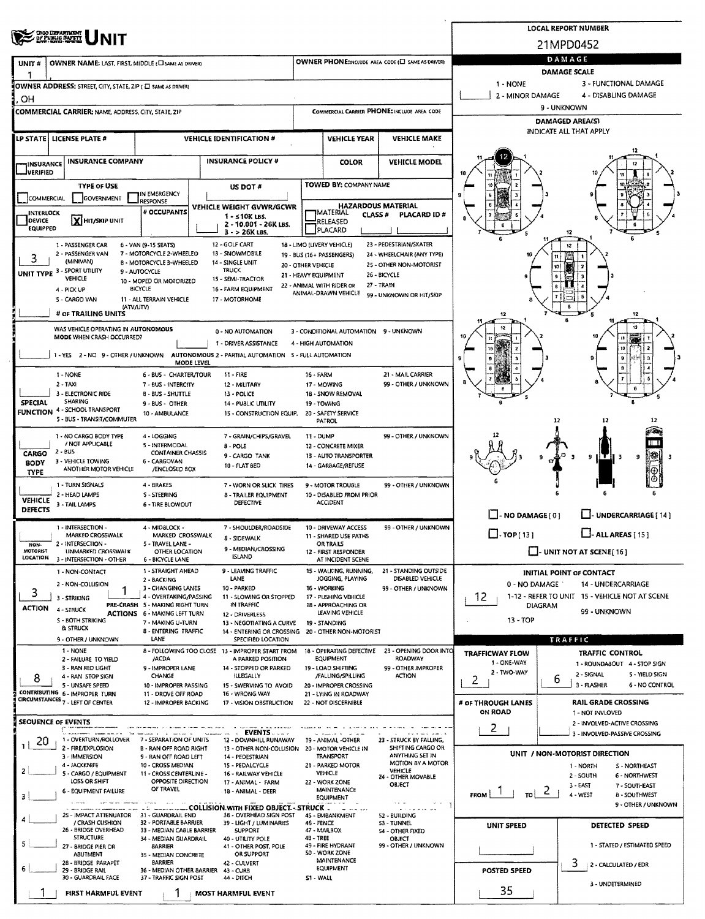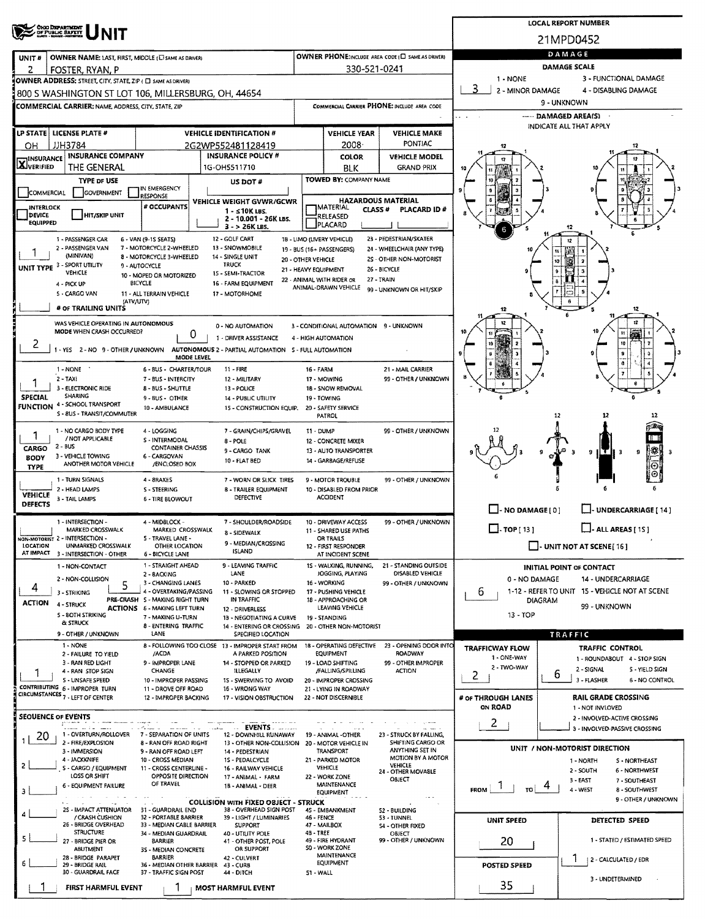|                                                                                                                      | <b>LOCAL REPORT NUMBER</b>                                                     |                                                                               |                                                               |                                                   |                                               |                                                                    |  |  |  |  |
|----------------------------------------------------------------------------------------------------------------------|--------------------------------------------------------------------------------|-------------------------------------------------------------------------------|---------------------------------------------------------------|---------------------------------------------------|-----------------------------------------------|--------------------------------------------------------------------|--|--|--|--|
| OHO DEPARTMENT<br>OF PUBLIC SAFETY                                                                                   |                                                                                |                                                                               |                                                               |                                                   | 21MPD0452                                     |                                                                    |  |  |  |  |
| OWNER NAME: LAST, FIRST, MIDDLE (C) SAME AS DRIVER)<br>UNIT#                                                         |                                                                                |                                                                               |                                                               | OWNER PHONE:INCLUDE AREA CODE (E) SAME AS DRIVER) | DAMAGE                                        |                                                                    |  |  |  |  |
| 2<br>FOSTER, RYAN, P                                                                                                 |                                                                                |                                                                               | 330-521-0241                                                  |                                                   | <b>DAMAGE SCALE</b>                           |                                                                    |  |  |  |  |
| OWNER ADDRESS: STREET, CITY, STATE, ZIP ( C) SAME AS DRIVER!                                                         |                                                                                |                                                                               |                                                               |                                                   | 1 - NONE                                      | 3 - FUNCTIONAL DAMAGE                                              |  |  |  |  |
| 800 S WASHINGTON ST LOT 106, MILLERSBURG, OH, 44654                                                                  |                                                                                |                                                                               |                                                               |                                                   | 2 - MINOR DAMAGE                              | 4 - DISABLING DAMAGE                                               |  |  |  |  |
| <b>COMMERCIAL CARRIER; NAME, ADDRESS, CITY, STATE, ZIP</b>                                                           |                                                                                |                                                                               |                                                               | COMMERCIAL CARRIER PHONE: INCLUDE AREA CODE       | 9 - UNKNOWN<br><b><i></i></b> DAMAGED AREA(S) |                                                                    |  |  |  |  |
|                                                                                                                      |                                                                                |                                                                               |                                                               |                                                   |                                               | INDICATE ALL THAT APPLY                                            |  |  |  |  |
| LP STATE   LICENSE PLATE #                                                                                           | <b>VEHICLE IDENTIFICATION #</b>                                                |                                                                               | <b>VEHICLE YEAR</b>                                           | <b>VEHICLE MAKE</b><br><b>PONTIAC</b>             |                                               |                                                                    |  |  |  |  |
| JJH3784<br>OН<br><b>INSURANCE COMPANY</b>                                                                            | 2G2WP552481128419<br><b>INSURANCE POLICY #</b>                                 |                                                                               | 2008<br><b>COLOR</b>                                          | <b>VEHICLE MODEL</b>                              | 17                                            |                                                                    |  |  |  |  |
| INSURANCE<br><b>X</b> VERIFIED<br>THE GENERAL                                                                        | 1G-OH5511710                                                                   |                                                                               | BLK                                                           | GRAND PRIX                                        |                                               |                                                                    |  |  |  |  |
| <b>TYPE OF USE</b>                                                                                                   | US DOT#                                                                        |                                                                               | TOWED BY: COMPANY NAME                                        |                                                   |                                               |                                                                    |  |  |  |  |
| IN EMERGENCY<br>GOVERNMENT<br>COMMERCIAL<br><b>RESPONSE</b>                                                          |                                                                                |                                                                               |                                                               |                                                   |                                               |                                                                    |  |  |  |  |
| # OCCUPANTS<br><b>INTERLOCK</b>                                                                                      | VEHICLE WEIGHT GVWR/GCWR<br>1 - ≤10K LBS.                                      | <b>HAZARDOUS MATERIAL</b><br><b>IMATERIAL</b><br><b>CLASS#</b><br>PLACARD ID# |                                                               |                                                   |                                               |                                                                    |  |  |  |  |
| <b>DEVICE</b><br><b>HIT/SKIP UNIT</b><br><b>EQUIPPED</b>                                                             | 2 - 10.001 - 26K LBS.<br>$3 - 26K$ LBS.                                        |                                                                               | RELEASED<br>PLACARD                                           |                                                   |                                               |                                                                    |  |  |  |  |
| 1 - PASSENGER CAR<br>6 - VAN (9-1S SEATS)                                                                            | 12 - GOLF CART                                                                 |                                                                               | 18 - LIMO (LIVERY VEHICLE)                                    | 23 - PEDESTRIAN/SKATER                            |                                               |                                                                    |  |  |  |  |
| 2 - PASSENGER VAN<br>7 - MOTORCYCLE 2-WHEELED                                                                        | 13 - SNOWMOBILE                                                                |                                                                               | 19 - BUS (16+ PASSENGERS)                                     | 24 - WHEELCHAIR (ANY TYPE)                        |                                               | $\mathbf{u}$                                                       |  |  |  |  |
| (MINIVAN)<br>8 - MOTORCYCLE 3-WHEELED<br>UNIT TYPE 3 - SPORT UTILITY<br>9 - AUTOCYCLE                                | 14 - SINGLE UNIT<br>20 - OTHER VEHICLE<br><b>TRUCK</b><br>21 - HEAVY EQUIPMENT |                                                                               |                                                               | 2S - OTHER NON-MOTORIST<br>26 - BICYCLE           |                                               |                                                                    |  |  |  |  |
| VEHICLE<br>10 - MOPED OR MOTORIZED                                                                                   | 15 - SEMI-TRACTOR                                                              |                                                                               | 22 - ANIMAL WITH RIDER OR<br>27 - TRAIN                       |                                                   |                                               |                                                                    |  |  |  |  |
| 4 - PICK UP<br>BICYCLE<br>5 - CARGO VAN<br>11 - ALL TERRAIN VEHICLE                                                  | 16 - FARM EQUIPMENT<br>17 - MOTORHOME                                          |                                                                               | ANIMAL-DRAWN VEHICLE                                          | 99 - UNKNOWN OR HIT/SKIP                          |                                               |                                                                    |  |  |  |  |
| (ATV/UTV)<br># OF TRAILING UNITS                                                                                     |                                                                                |                                                                               |                                                               |                                                   | 12                                            | 12                                                                 |  |  |  |  |
| WAS VEHICLE OPERATING IN AUTONOMOUS                                                                                  |                                                                                |                                                                               |                                                               |                                                   |                                               |                                                                    |  |  |  |  |
| MODE WHEN CRASH OCCURRED?<br>0                                                                                       | 0 - NO AUTOMATION<br>1 - DRIVER ASSISTANCE                                     |                                                                               | 3 - CONDITIONAL AUTOMATION 9 - UNKNOWN<br>4 - HIGH AUTOMATION |                                                   |                                               |                                                                    |  |  |  |  |
| ۷<br>1 - YES 2 - NO 9 - OTHER / UNKNOWN AUTONOMOUS 2 - PARTIAL AUTOMATION 5 - FULL AUTOMATION                        |                                                                                |                                                                               |                                                               |                                                   |                                               | 10                                                                 |  |  |  |  |
| MODE LEVEL                                                                                                           |                                                                                |                                                                               |                                                               |                                                   |                                               |                                                                    |  |  |  |  |
| 1 - NONE<br>6 - BUS - CHARTER/TOUR                                                                                   | $11 - FIRE$                                                                    | 16 - FARM                                                                     |                                                               | 21 - MAIL CARRIER                                 |                                               |                                                                    |  |  |  |  |
| $2 - TAX$<br>7 - BUS - INTERCITY<br>3 - ELECTRONIC RIDE<br><b>B-BUS-SHUTTLE</b>                                      | 12 - MILITARY<br>13 - POLICE                                                   | 17 - MOWING                                                                   | 18 - SNOW REMOVAL                                             | 99 - OTHER / UNKNOWN                              |                                               |                                                                    |  |  |  |  |
| SHARING<br><b>SPECIAL</b><br>9 - BUS - OTHER<br><b>FUNCTION 4 - SCHOOL TRANSPORT</b>                                 | <b>14 - PUBLIC UTILITY</b>                                                     | 19 - TOWING                                                                   |                                                               |                                                   |                                               |                                                                    |  |  |  |  |
| 10 - AMBULANCE<br>S - 8US - TRANSIT/COMMUTER                                                                         | 15 - CONSTRUCTION EQUIP.                                                       | PATROL                                                                        | 20 - SAFETY SERVICE                                           |                                                   |                                               | 12                                                                 |  |  |  |  |
| 1 - NO CARGO BODY TYPE<br>4 - LOGGING                                                                                | 7 - GRAIN/CHIPS/GRAVEL                                                         | 11 - DUMP                                                                     |                                                               | 99 - OTHER / UNKNOWN                              |                                               |                                                                    |  |  |  |  |
| 1<br>/ NOT APPLICABLE<br>S - INTERMODAL<br>2 - BUS                                                                   | 8 - POLE                                                                       |                                                                               | 12 - CONCRETE MIXER                                           |                                                   |                                               | a m                                                                |  |  |  |  |
| <b>CONTAINER CHASSIS</b><br><b>CARGO</b><br>3 - VEHICLE TOWING<br>6 - CARGOVAN<br><b>BODY</b>                        | 9 - CARGO TANK                                                                 | 13 - AUTO TRANSPORTER<br>14 - GARBAGE/REFUSE                                  |                                                               |                                                   |                                               | 縣<br>9<br>9<br>з                                                   |  |  |  |  |
| ANOTHER MOTOR VEHICLE<br>/ENCLOSED BOX<br><b>TYPE</b>                                                                | 10 - FLAT BED                                                                  |                                                                               |                                                               |                                                   |                                               | G                                                                  |  |  |  |  |
| 1 - TURN SIGNALS<br>4 - 8RAKES                                                                                       | 7 - WORN OR SLICK TIRES                                                        |                                                                               | 9 - MOTOR TROUBLE                                             | 99 - OTHER / UNKNOWN                              |                                               |                                                                    |  |  |  |  |
| 2 - HEAD LAMPS<br>S - STEERING<br>VEHICLE<br>3 - TAIL LAMPS<br><b>6 - TIRE BLOWOUT</b>                               | <b>B - TRAILER EQUIPMENT</b><br>DEFECTIVE                                      |                                                                               | 10 - DISABLED FROM PRIOR<br><b>ACCIDENT</b>                   |                                                   |                                               |                                                                    |  |  |  |  |
| <b>DEFECTS</b>                                                                                                       |                                                                                |                                                                               |                                                               |                                                   | $\Box$ - NO DAMAGE [ 0 ]                      | UNDERCARRIAGE [ 14 ]                                               |  |  |  |  |
| 1 - INTERSECTION -<br>4 - MIDBLOCK -<br>MARKED CROSSWALK<br>MARKED CROSSWALK                                         | 7 - SHOULDER/ROADSIDE                                                          |                                                                               | 10 - DRIVEWAY ACCESS                                          | 99 - OTHER / UNKNOWN                              | $\Box$ -TOP[13]                               | $\Box$ - ALL AREAS [ 15 ]                                          |  |  |  |  |
| NON-MOTORIST 2 - INTERSECTION -<br>5 - TRAVEL LANE -                                                                 | <b>8 - SIDEWALK</b><br>9 - MEDIAN/CROSSING                                     | 11 - SHARED USE PATHS<br>OR TRAILS                                            |                                                               |                                                   |                                               |                                                                    |  |  |  |  |
| LOCATION<br>UNMARKED CROSSWALK<br>OTHER LOCATION<br>AT IMPACT<br>3 - INTERSECTION - OTHER<br><b>6 - BICYCLE LANE</b> | <b>ISLAND</b>                                                                  |                                                                               | 12 - FIRST RESPONDER<br>AT INCIDENT SCENE                     |                                                   |                                               | $\Box$ UNIT NOT AT SCENE [16]                                      |  |  |  |  |
| 1 - STRAIGHT AHEAD<br>1 - NON-CONTACT                                                                                | 9 - LEAVING TRAFFIC                                                            |                                                                               | 15 - WALKING, RUNNING,                                        | 21 - STANDING OUTSIDE                             |                                               | <b>INITIAL POINT OF CONTACT</b>                                    |  |  |  |  |
| 2 - BACKING<br>2 - NON-COLLISION<br>3 - CHANGING LANES<br>5                                                          | LANE<br>10 - PARKED                                                            | 16 - WORKING                                                                  | JOGGING, PLAYING                                              | <b>DISABLED VEHICLE</b><br>99 - OTHER / UNKNOWN   | 0 - NO DAMAGE                                 | 14 - UNDERCARRIAGE                                                 |  |  |  |  |
| 4<br>4 - OVERTAKING/PASSING<br>3 - STRIKING                                                                          | 11 - SLOWING OR STOPPED<br>IN TRAFFIC                                          |                                                                               | 17 - PUSHING VEHICLE                                          |                                                   | 6                                             | 1-12 - REFER TO UNIT 15 - VEHICLE NOT AT SCENE                     |  |  |  |  |
| PRE-CRASH S - MAKING RIGHT TURN<br><b>ACTION</b><br>4 - STRUCK<br><b>ACTIONS 6 - MAKING LEFT TURN</b>                | 12 - DRIVERLESS                                                                |                                                                               | 18 - APPROACHING OR<br>LEAVING VEHICLE                        |                                                   |                                               | <b>DIAGRAM</b><br>99 - UNKNOWN                                     |  |  |  |  |
| 5 - BOTH STRIKING<br>7 - MAXING U-TURN<br><b>&amp; STRUCK</b><br>8 - ENTERING TRAFFIC                                | 13 - NEGOTIATING A CURVE<br>14 - ENTERING OR CROSSING                          | 19 - STANDING                                                                 | 20 - OTHER NON-MOTORIST                                       |                                                   | 13 - TOP                                      |                                                                    |  |  |  |  |
| 9 - OTHER / UNKNOWN<br>LANE                                                                                          | SPECIFIED LOCATION                                                             |                                                                               |                                                               |                                                   |                                               | TRAFFIC                                                            |  |  |  |  |
| 1 - NONE<br>2 - FAILURE TO YIELD<br>/ACDA                                                                            | 8 - FOLLOWING TOO CLOSE 13 - IMPROPER START FROM<br>A PARKED POSITION          |                                                                               | 18 - OPERATING DEFECTIVE<br><b>EQUIPMENT</b>                  | 23 - OPENING DOOR INTO<br>ROADWAY                 | <b>TRAFFICWAY FLOW</b>                        | <b>TRAFFIC CONTROL</b>                                             |  |  |  |  |
| 3 - RAN RED LIGHT<br>9 - IMPROPER LANE                                                                               | 14 - STOPPED OR PARKED                                                         |                                                                               | 19 - LOAD SHIFTING                                            | 99 - OTHER IMPROPER                               | 1 - ONE-WAY<br>2 - TWO-WAY                    | 1 - ROUNDABOUT 4 - STOP SIGN                                       |  |  |  |  |
| 4 - RAN STOP SIGN<br>CHANGE<br>S - UNSAFE SPEED<br>10 - IMPROPER PASSING                                             | <b>ILLEGALLY</b><br>15 - SWERVING TO AVOID                                     |                                                                               | /FALLING/SPILLING<br>20 - IMPROPER CROSSING                   | ACTION                                            | 2                                             | 2 - SIGNAL<br>S - YIELD SIGN<br>6<br>3 - FLASHER<br>6 - NO CONTROL |  |  |  |  |
| CONTRIBUTING 6 - IMPROPER TURN<br>11 - DROVE OFF ROAD<br>CIRCUMSTANCES 7 - LEFT OF CENTER                            | 16 - WRONG WAY                                                                 |                                                                               | 21 - LYING IN ROADWAY                                         |                                                   |                                               |                                                                    |  |  |  |  |
| 12 - IMPROPER BACKING                                                                                                | 17 - VISION OBSTRUCTION                                                        |                                                                               | 22 - NOT DISCERNIBLE                                          |                                                   | # OF THROUGH LANES<br>ON ROAD                 | <b>RAIL GRADE CROSSING</b><br>1 - NOT INVLOVED                     |  |  |  |  |
| SEOUENCE OF EVENTS                                                                                                   |                                                                                |                                                                               |                                                               |                                                   | $\mathbf{2}$                                  | 2 - INVOLVED-ACTIVE CROSSING                                       |  |  |  |  |
| 1 - OVERTURN/ROLLOVER 7 - SEPARATION OF UNITS<br>Z0                                                                  | $\mathbf{L}$ EVENTS<br>12 - DOWNHILL RUNAWAY                                   |                                                                               | 19 - ANIMAL -OTHER                                            | 23 - STRUCK BY FALLING,                           |                                               | 3 - INVOLVED-PASSIVE CROSSING                                      |  |  |  |  |
| 2 - FIRE/EXPLOSION<br>8 - RAN OFF ROAD RIGHT<br>3 - IMMERSION<br>9 - RAN OFF ROAD LEFT                               | 13 - OTHER NON-COLLISION 20 - MOTOR VEHICLE IN<br>14 - PEDESTRIAN              |                                                                               | <b>TRANSPORT</b>                                              | SHIFTING CARGO OR<br>ANYTHING SET IN              |                                               | UNIT / NON-MOTORIST DIRECTION                                      |  |  |  |  |
| 4 - JACKKNIFE<br>10 - CROSS MEDIAN                                                                                   | <b>1S - PEDALCYCLE</b>                                                         |                                                                               | 21 - PARKED MOTOR                                             | MOTION BY A MOTOR<br>VEHICLE                      |                                               | 1 - NORTH<br>S - NORTHEAST                                         |  |  |  |  |
| 2<br>S - CARGO / EQUIPMENT<br>11 - CROSS CENTERLINE -<br>LOSS OR SHIFT<br>OPPOSITE DIRECTION                         | 16 - RAILWAY VEHICLE<br>17 - ANIMAL - FARM                                     |                                                                               | <b>VEHICLE</b><br>22 - WORK ZONE                              | 24 - OTHER MOVABLE                                |                                               | 2 - SOUTH<br>6 - NORTHWEST                                         |  |  |  |  |
| OF TRAVEL<br><b>6 - EQUIPMENT FAILURE</b><br>з                                                                       | 18 - ANIMAL - DEER                                                             |                                                                               | MAINTENANCE                                                   | OBJECT                                            | <b>FROM</b><br>τoΙ                            | 3 - EAST<br>7 - SOUTHEAST<br>4 - WEST<br>8 - SOUTHWEST             |  |  |  |  |
|                                                                                                                      | <b>COLLISION WITH FIXED OBJECT - STRUCK</b>                                    |                                                                               | <b>EQUIPMENT</b>                                              | $\sim 10^{-12}$                                   |                                               | 9 - OTHER / UNKNOWN                                                |  |  |  |  |
| 25 - IMPACT ATTENUATOR<br>31 - GUARDRAIL END<br>/ CRASH CUSHION<br>32 - PORTABLE BARRIER                             | 38 - OVERHEAD SIGN POST<br>39 - LIGHT / LUMINARIES                             | 46 - FENCE                                                                    | 45 - EMBANKMENT                                               | 52 BUILDING<br>53 - TUNNEL                        |                                               |                                                                    |  |  |  |  |
| 26 - BRIDGE OVERHEAD<br>33 - MEDIAN CABLE BARRIER<br><b>STRUCTURE</b>                                                | <b>SUPPORT</b>                                                                 | 47 - MAILBOX<br>48 - TREE                                                     |                                                               | <b>54 - OTHER FIXED</b>                           | UNIT SPEED                                    | DETECTED SPEED                                                     |  |  |  |  |
| 34 - MEDIAN GUARDRAIL<br>5<br>27 - BRIDGE PIER OR<br>BARRIER                                                         | 40 - UTILITY POLE<br>41 - OTHER POST, POLE                                     |                                                                               | 49 - FIRE HYDRANT                                             | OBJECT<br>99 - OTHER / UNKNOWN                    | 20                                            | 1 - STATED / ESTIMATED SPEED                                       |  |  |  |  |
| <b>ABUTMENT</b><br>3S - MEDIAN CONCRETE<br><b>BARRIER</b><br>28 - BRIDGE PARAPET                                     | OR SUPPORT<br>42 - CULVERT                                                     |                                                                               | SO - WORK ZONE<br>MAINTENANCE                                 |                                                   |                                               | Ŧ<br>2 - CALCULATED / EDR                                          |  |  |  |  |
| 36 - MEDIAN OTHER BARRIER<br>29 - BRIDGE RAIL<br>30 - GUARDRAIL FACE<br>37 - TRAFFIC SIGN POST                       | 43 - CURB<br>44 - DITCH                                                        | 51 - WALL                                                                     | EQUIPMENT                                                     |                                                   | <b>POSTED SPEED</b>                           |                                                                    |  |  |  |  |
|                                                                                                                      |                                                                                |                                                                               |                                                               |                                                   | 35                                            | 3 - UNDETERMINED                                                   |  |  |  |  |
| FIRST HARMFUL EVENT                                                                                                  | <b>MOST HARMFUL EVENT</b>                                                      |                                                                               |                                                               |                                                   |                                               |                                                                    |  |  |  |  |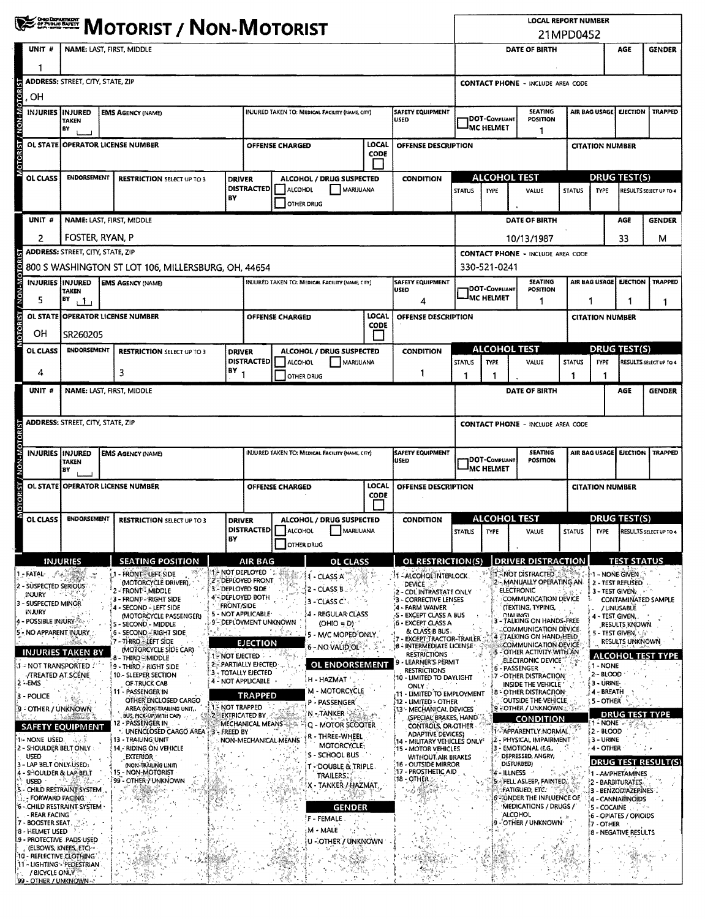| <b>WE DESCRIPT / NON-MOTORIST</b> |                                                                                                                                                                                                                                                                                                                                                                                                                                                                                                                                                                                                                                                                                                                |                                          |                                                                                                              |                                                                                                                                                                                                                                                                                                                                                                                                                                                                                                                                                                                                                                                                                 |                                                                      |                                                                                                                                                                                                                                                                                  |                                                                       |                                                                                                                                                                                                                                                                                                                                                                                                                                                        |                                                                       | <b>LOCAL REPORT NUMBER</b><br>21MPD0452                                                                                                                                                                                                                                                                                                                                                                                                                                                                                                                                                                                                                                             |                                                |                                                 |                                                                                                                                                                                                                                                                                                                                                                                                                                                                                                                                                                                                                                                                                                                                                                  |                        |                                                                                                                                                                                           |                                                                                                                                                                                                                                                                                            |                                                                                        |
|-----------------------------------|----------------------------------------------------------------------------------------------------------------------------------------------------------------------------------------------------------------------------------------------------------------------------------------------------------------------------------------------------------------------------------------------------------------------------------------------------------------------------------------------------------------------------------------------------------------------------------------------------------------------------------------------------------------------------------------------------------------|------------------------------------------|--------------------------------------------------------------------------------------------------------------|---------------------------------------------------------------------------------------------------------------------------------------------------------------------------------------------------------------------------------------------------------------------------------------------------------------------------------------------------------------------------------------------------------------------------------------------------------------------------------------------------------------------------------------------------------------------------------------------------------------------------------------------------------------------------------|----------------------------------------------------------------------|----------------------------------------------------------------------------------------------------------------------------------------------------------------------------------------------------------------------------------------------------------------------------------|-----------------------------------------------------------------------|--------------------------------------------------------------------------------------------------------------------------------------------------------------------------------------------------------------------------------------------------------------------------------------------------------------------------------------------------------------------------------------------------------------------------------------------------------|-----------------------------------------------------------------------|-------------------------------------------------------------------------------------------------------------------------------------------------------------------------------------------------------------------------------------------------------------------------------------------------------------------------------------------------------------------------------------------------------------------------------------------------------------------------------------------------------------------------------------------------------------------------------------------------------------------------------------------------------------------------------------|------------------------------------------------|-------------------------------------------------|------------------------------------------------------------------------------------------------------------------------------------------------------------------------------------------------------------------------------------------------------------------------------------------------------------------------------------------------------------------------------------------------------------------------------------------------------------------------------------------------------------------------------------------------------------------------------------------------------------------------------------------------------------------------------------------------------------------------------------------------------------------|------------------------|-------------------------------------------------------------------------------------------------------------------------------------------------------------------------------------------|--------------------------------------------------------------------------------------------------------------------------------------------------------------------------------------------------------------------------------------------------------------------------------------------|----------------------------------------------------------------------------------------|
|                                   | UNIT #                                                                                                                                                                                                                                                                                                                                                                                                                                                                                                                                                                                                                                                                                                         | NAME: LAST, FIRST, MIDDLE                |                                                                                                              |                                                                                                                                                                                                                                                                                                                                                                                                                                                                                                                                                                                                                                                                                 |                                                                      |                                                                                                                                                                                                                                                                                  |                                                                       |                                                                                                                                                                                                                                                                                                                                                                                                                                                        |                                                                       |                                                                                                                                                                                                                                                                                                                                                                                                                                                                                                                                                                                                                                                                                     |                                                | DATE OF BIRTH                                   |                                                                                                                                                                                                                                                                                                                                                                                                                                                                                                                                                                                                                                                                                                                                                                  |                        |                                                                                                                                                                                           | AGE                                                                                                                                                                                                                                                                                        | <b>GENDER</b>                                                                          |
|                                   | 1                                                                                                                                                                                                                                                                                                                                                                                                                                                                                                                                                                                                                                                                                                              |                                          |                                                                                                              |                                                                                                                                                                                                                                                                                                                                                                                                                                                                                                                                                                                                                                                                                 |                                                                      |                                                                                                                                                                                                                                                                                  |                                                                       |                                                                                                                                                                                                                                                                                                                                                                                                                                                        |                                                                       |                                                                                                                                                                                                                                                                                                                                                                                                                                                                                                                                                                                                                                                                                     |                                                |                                                 |                                                                                                                                                                                                                                                                                                                                                                                                                                                                                                                                                                                                                                                                                                                                                                  |                        |                                                                                                                                                                                           |                                                                                                                                                                                                                                                                                            |                                                                                        |
|                                   | OН                                                                                                                                                                                                                                                                                                                                                                                                                                                                                                                                                                                                                                                                                                             | <b>ADDRESS: STREET, CITY, STATE, ZIP</b> |                                                                                                              |                                                                                                                                                                                                                                                                                                                                                                                                                                                                                                                                                                                                                                                                                 |                                                                      |                                                                                                                                                                                                                                                                                  |                                                                       |                                                                                                                                                                                                                                                                                                                                                                                                                                                        |                                                                       |                                                                                                                                                                                                                                                                                                                                                                                                                                                                                                                                                                                                                                                                                     | <b>CONTACT PHONE - INCLUDE AREA CODE</b>       |                                                 |                                                                                                                                                                                                                                                                                                                                                                                                                                                                                                                                                                                                                                                                                                                                                                  |                        |                                                                                                                                                                                           |                                                                                                                                                                                                                                                                                            |                                                                                        |
| <b>MOTORIST / NON-MOTORIST</b>    | <b>INJURIES</b>                                                                                                                                                                                                                                                                                                                                                                                                                                                                                                                                                                                                                                                                                                | IINJURED<br><b>TAKEN</b><br>BY           |                                                                                                              | <b>EMS AGENCY (NAME)</b>                                                                                                                                                                                                                                                                                                                                                                                                                                                                                                                                                                                                                                                        |                                                                      | <b>SAFETY EQUIPMENT</b><br>INJURED TAKEN TO: MEDICAL FACILITY (NAME, CITY)<br>USED                                                                                                                                                                                               |                                                                       |                                                                                                                                                                                                                                                                                                                                                                                                                                                        | <b>SEATING</b><br>DOT-Compliant<br>POSITION<br><b>MC HELMET</b><br>-1 |                                                                                                                                                                                                                                                                                                                                                                                                                                                                                                                                                                                                                                                                                     |                                                | AIR BAG USAGE<br>EJECTION                       |                                                                                                                                                                                                                                                                                                                                                                                                                                                                                                                                                                                                                                                                                                                                                                  | <b>TRAPPED</b>         |                                                                                                                                                                                           |                                                                                                                                                                                                                                                                                            |                                                                                        |
|                                   |                                                                                                                                                                                                                                                                                                                                                                                                                                                                                                                                                                                                                                                                                                                |                                          |                                                                                                              | OL STATE OPERATOR LICENSE NUMBER                                                                                                                                                                                                                                                                                                                                                                                                                                                                                                                                                                                                                                                |                                                                      | <b>LOCAL</b><br><b>OFFENSE CHARGED</b><br>CODE                                                                                                                                                                                                                                   |                                                                       |                                                                                                                                                                                                                                                                                                                                                                                                                                                        | OFFENSE DESCRIPTION                                                   |                                                                                                                                                                                                                                                                                                                                                                                                                                                                                                                                                                                                                                                                                     |                                                |                                                 |                                                                                                                                                                                                                                                                                                                                                                                                                                                                                                                                                                                                                                                                                                                                                                  | <b>CITATION NUMBER</b> |                                                                                                                                                                                           |                                                                                                                                                                                                                                                                                            |                                                                                        |
|                                   |                                                                                                                                                                                                                                                                                                                                                                                                                                                                                                                                                                                                                                                                                                                |                                          | <b>ENDORSEMENT</b>                                                                                           |                                                                                                                                                                                                                                                                                                                                                                                                                                                                                                                                                                                                                                                                                 |                                                                      |                                                                                                                                                                                                                                                                                  |                                                                       |                                                                                                                                                                                                                                                                                                                                                                                                                                                        |                                                                       |                                                                                                                                                                                                                                                                                                                                                                                                                                                                                                                                                                                                                                                                                     | <b>ALCOHOL TEST</b>                            |                                                 |                                                                                                                                                                                                                                                                                                                                                                                                                                                                                                                                                                                                                                                                                                                                                                  |                        | <b>DRUG TEST(S)</b>                                                                                                                                                                       |                                                                                                                                                                                                                                                                                            |                                                                                        |
|                                   | OL CLASS                                                                                                                                                                                                                                                                                                                                                                                                                                                                                                                                                                                                                                                                                                       |                                          | <b>RESTRICTION SELECT UP TO 3</b><br>BY                                                                      |                                                                                                                                                                                                                                                                                                                                                                                                                                                                                                                                                                                                                                                                                 |                                                                      | ALCOHOL / DRUG SUSPECTED<br><b>DRIVER</b><br><b>DISTRACTED</b><br>ALCOHOL<br>MARIJUANA<br><b>OTHER DRUG</b>                                                                                                                                                                      |                                                                       | <b>CONDITION</b>                                                                                                                                                                                                                                                                                                                                                                                                                                       | <b>STATUS</b>                                                         | <b>TYPE</b>                                                                                                                                                                                                                                                                                                                                                                                                                                                                                                                                                                                                                                                                         | VALUE                                          | <b>STATUS</b>                                   | <b>TYPE</b>                                                                                                                                                                                                                                                                                                                                                                                                                                                                                                                                                                                                                                                                                                                                                      |                        | RESULTS SELECT UP TO 4                                                                                                                                                                    |                                                                                                                                                                                                                                                                                            |                                                                                        |
|                                   | UNIT #                                                                                                                                                                                                                                                                                                                                                                                                                                                                                                                                                                                                                                                                                                         |                                          |                                                                                                              | NAME: LAST, FIRST, MIDDLE                                                                                                                                                                                                                                                                                                                                                                                                                                                                                                                                                                                                                                                       |                                                                      |                                                                                                                                                                                                                                                                                  |                                                                       |                                                                                                                                                                                                                                                                                                                                                                                                                                                        |                                                                       |                                                                                                                                                                                                                                                                                                                                                                                                                                                                                                                                                                                                                                                                                     |                                                | DATE OF BIRTH                                   |                                                                                                                                                                                                                                                                                                                                                                                                                                                                                                                                                                                                                                                                                                                                                                  |                        | AGE                                                                                                                                                                                       | <b>GENDER</b>                                                                                                                                                                                                                                                                              |                                                                                        |
|                                   | 2                                                                                                                                                                                                                                                                                                                                                                                                                                                                                                                                                                                                                                                                                                              |                                          |                                                                                                              | FOSTER, RYAN, P                                                                                                                                                                                                                                                                                                                                                                                                                                                                                                                                                                                                                                                                 |                                                                      |                                                                                                                                                                                                                                                                                  |                                                                       |                                                                                                                                                                                                                                                                                                                                                                                                                                                        |                                                                       |                                                                                                                                                                                                                                                                                                                                                                                                                                                                                                                                                                                                                                                                                     |                                                | 10/13/1987                                      |                                                                                                                                                                                                                                                                                                                                                                                                                                                                                                                                                                                                                                                                                                                                                                  |                        |                                                                                                                                                                                           | 33                                                                                                                                                                                                                                                                                         | м                                                                                      |
|                                   | <b>ADDRESS: STREET, CITY, STATE, ZIP</b>                                                                                                                                                                                                                                                                                                                                                                                                                                                                                                                                                                                                                                                                       |                                          |                                                                                                              |                                                                                                                                                                                                                                                                                                                                                                                                                                                                                                                                                                                                                                                                                 |                                                                      |                                                                                                                                                                                                                                                                                  |                                                                       |                                                                                                                                                                                                                                                                                                                                                                                                                                                        |                                                                       |                                                                                                                                                                                                                                                                                                                                                                                                                                                                                                                                                                                                                                                                                     |                                                |                                                 | <b>CONTACT PHONE - INCLUDE AREA CODE</b>                                                                                                                                                                                                                                                                                                                                                                                                                                                                                                                                                                                                                                                                                                                         |                        |                                                                                                                                                                                           |                                                                                                                                                                                                                                                                                            |                                                                                        |
|                                   |                                                                                                                                                                                                                                                                                                                                                                                                                                                                                                                                                                                                                                                                                                                |                                          |                                                                                                              | 800 S WASHINGTON ST LOT 106, MILLERSBURG, OH, 44654                                                                                                                                                                                                                                                                                                                                                                                                                                                                                                                                                                                                                             |                                                                      |                                                                                                                                                                                                                                                                                  |                                                                       |                                                                                                                                                                                                                                                                                                                                                                                                                                                        |                                                                       |                                                                                                                                                                                                                                                                                                                                                                                                                                                                                                                                                                                                                                                                                     |                                                | 330-521-0241                                    |                                                                                                                                                                                                                                                                                                                                                                                                                                                                                                                                                                                                                                                                                                                                                                  |                        |                                                                                                                                                                                           |                                                                                                                                                                                                                                                                                            |                                                                                        |
| <b>IOTORIST / NON-MOTORIST</b>    | INJURIES INJURED<br>5                                                                                                                                                                                                                                                                                                                                                                                                                                                                                                                                                                                                                                                                                          | <b>TAKEN</b><br>BY<br>$+1$               |                                                                                                              | <b>EMS AGENCY (NAME)</b>                                                                                                                                                                                                                                                                                                                                                                                                                                                                                                                                                                                                                                                        |                                                                      |                                                                                                                                                                                                                                                                                  |                                                                       | <b>INJURED TAKEN TO: MEDICAL FACILITY (NAME, CITY)</b>                                                                                                                                                                                                                                                                                                                                                                                                 |                                                                       | <b>SAFETY EQUIPMENT</b><br>USED<br>4                                                                                                                                                                                                                                                                                                                                                                                                                                                                                                                                                                                                                                                |                                                | <b>IDOT-COMPLIANT</b><br><sup>I</sup> MC HELMET | <b>SEATING</b><br><b>POSITION</b><br>1                                                                                                                                                                                                                                                                                                                                                                                                                                                                                                                                                                                                                                                                                                                           |                        | AIR BAG USAGE EJECTION<br>1<br>1                                                                                                                                                          |                                                                                                                                                                                                                                                                                            | <b>TRAPPED</b><br>1                                                                    |
|                                   |                                                                                                                                                                                                                                                                                                                                                                                                                                                                                                                                                                                                                                                                                                                |                                          |                                                                                                              | OL STATE OPERATOR LICENSE NUMBER                                                                                                                                                                                                                                                                                                                                                                                                                                                                                                                                                                                                                                                |                                                                      |                                                                                                                                                                                                                                                                                  | <b>OFFENSE CHARGED</b>                                                |                                                                                                                                                                                                                                                                                                                                                                                                                                                        | LOCAL<br><b>CODE</b>                                                  | OFFENSE DESCRIPTION                                                                                                                                                                                                                                                                                                                                                                                                                                                                                                                                                                                                                                                                 |                                                |                                                 |                                                                                                                                                                                                                                                                                                                                                                                                                                                                                                                                                                                                                                                                                                                                                                  |                        | <b>CITATION NUMBER</b>                                                                                                                                                                    |                                                                                                                                                                                                                                                                                            |                                                                                        |
|                                   | OН                                                                                                                                                                                                                                                                                                                                                                                                                                                                                                                                                                                                                                                                                                             | SR260205                                 |                                                                                                              |                                                                                                                                                                                                                                                                                                                                                                                                                                                                                                                                                                                                                                                                                 |                                                                      |                                                                                                                                                                                                                                                                                  |                                                                       |                                                                                                                                                                                                                                                                                                                                                                                                                                                        |                                                                       |                                                                                                                                                                                                                                                                                                                                                                                                                                                                                                                                                                                                                                                                                     |                                                |                                                 |                                                                                                                                                                                                                                                                                                                                                                                                                                                                                                                                                                                                                                                                                                                                                                  |                        |                                                                                                                                                                                           |                                                                                                                                                                                                                                                                                            |                                                                                        |
|                                   | OL CLASS                                                                                                                                                                                                                                                                                                                                                                                                                                                                                                                                                                                                                                                                                                       |                                          | <b>ENDORSEMENT</b>                                                                                           | <b>RESTRICTION SELECT UP TO 3</b>                                                                                                                                                                                                                                                                                                                                                                                                                                                                                                                                                                                                                                               | <b>DRIVER</b>                                                        | ALCOHOL / DRUG SUSPECTED<br><b>DISTRACTED</b><br><b>ALCOHOL</b><br>MARIJUANA                                                                                                                                                                                                     |                                                                       |                                                                                                                                                                                                                                                                                                                                                                                                                                                        | <b>CONDITION</b>                                                      | <b>STATUS</b>                                                                                                                                                                                                                                                                                                                                                                                                                                                                                                                                                                                                                                                                       | <b>TYPE</b>                                    | <b>ALCOHOL TEST</b><br>VALUE                    | <b>STATUS</b>                                                                                                                                                                                                                                                                                                                                                                                                                                                                                                                                                                                                                                                                                                                                                    | TYPE                   | <b>DRUG TEST(S)</b>                                                                                                                                                                       | RESULTS SELECT UP TO 4                                                                                                                                                                                                                                                                     |                                                                                        |
|                                   | 4                                                                                                                                                                                                                                                                                                                                                                                                                                                                                                                                                                                                                                                                                                              | $18Y_1$<br>з                             |                                                                                                              |                                                                                                                                                                                                                                                                                                                                                                                                                                                                                                                                                                                                                                                                                 |                                                                      | OTHER DRUG                                                                                                                                                                                                                                                                       |                                                                       |                                                                                                                                                                                                                                                                                                                                                                                                                                                        | 1                                                                     | 1                                                                                                                                                                                                                                                                                                                                                                                                                                                                                                                                                                                                                                                                                   | 1                                              |                                                 |                                                                                                                                                                                                                                                                                                                                                                                                                                                                                                                                                                                                                                                                                                                                                                  | 1<br>1                 |                                                                                                                                                                                           |                                                                                                                                                                                                                                                                                            |                                                                                        |
|                                   | UNIT #                                                                                                                                                                                                                                                                                                                                                                                                                                                                                                                                                                                                                                                                                                         |                                          |                                                                                                              | NAME: LAST, FIRST, MIDDLE                                                                                                                                                                                                                                                                                                                                                                                                                                                                                                                                                                                                                                                       |                                                                      |                                                                                                                                                                                                                                                                                  |                                                                       |                                                                                                                                                                                                                                                                                                                                                                                                                                                        |                                                                       |                                                                                                                                                                                                                                                                                                                                                                                                                                                                                                                                                                                                                                                                                     |                                                |                                                 | DATE OF BIRTH                                                                                                                                                                                                                                                                                                                                                                                                                                                                                                                                                                                                                                                                                                                                                    |                        |                                                                                                                                                                                           | AGE                                                                                                                                                                                                                                                                                        | <b>GENDER</b>                                                                          |
|                                   | <b>ADDRESS: STREET, CITY, STATE, ZIP</b>                                                                                                                                                                                                                                                                                                                                                                                                                                                                                                                                                                                                                                                                       |                                          |                                                                                                              |                                                                                                                                                                                                                                                                                                                                                                                                                                                                                                                                                                                                                                                                                 |                                                                      |                                                                                                                                                                                                                                                                                  |                                                                       |                                                                                                                                                                                                                                                                                                                                                                                                                                                        |                                                                       |                                                                                                                                                                                                                                                                                                                                                                                                                                                                                                                                                                                                                                                                                     | <b>CONTACT PHONE - INCLUDE AREA CODE</b>       |                                                 |                                                                                                                                                                                                                                                                                                                                                                                                                                                                                                                                                                                                                                                                                                                                                                  |                        |                                                                                                                                                                                           |                                                                                                                                                                                                                                                                                            |                                                                                        |
|                                   |                                                                                                                                                                                                                                                                                                                                                                                                                                                                                                                                                                                                                                                                                                                |                                          |                                                                                                              |                                                                                                                                                                                                                                                                                                                                                                                                                                                                                                                                                                                                                                                                                 |                                                                      |                                                                                                                                                                                                                                                                                  |                                                                       |                                                                                                                                                                                                                                                                                                                                                                                                                                                        |                                                                       |                                                                                                                                                                                                                                                                                                                                                                                                                                                                                                                                                                                                                                                                                     |                                                |                                                 |                                                                                                                                                                                                                                                                                                                                                                                                                                                                                                                                                                                                                                                                                                                                                                  |                        |                                                                                                                                                                                           |                                                                                                                                                                                                                                                                                            |                                                                                        |
|                                   | <b>INJURIES</b>                                                                                                                                                                                                                                                                                                                                                                                                                                                                                                                                                                                                                                                                                                | <b>TAKEN</b><br>BY                       | <b>INJURED</b><br>INJURED TAKEN TO: MEDICAL FACILITY (NAME, CITY)<br><b>EMS AGENCY (NAME)</b><br><b>USED</b> |                                                                                                                                                                                                                                                                                                                                                                                                                                                                                                                                                                                                                                                                                 |                                                                      |                                                                                                                                                                                                                                                                                  |                                                                       |                                                                                                                                                                                                                                                                                                                                                                                                                                                        | SAFETY EQUIPMENT                                                      |                                                                                                                                                                                                                                                                                                                                                                                                                                                                                                                                                                                                                                                                                     | <b>DOT-COMPLIANT</b><br><sup>J</sup> MC HELMET | <b>SEATING</b><br><b>POSITION</b>               |                                                                                                                                                                                                                                                                                                                                                                                                                                                                                                                                                                                                                                                                                                                                                                  | AIR BAG USAGE          | <b>EJECTION</b>                                                                                                                                                                           | <b>TRAPPED</b>                                                                                                                                                                                                                                                                             |                                                                                        |
| MOTORIST / NON-MOTORIST           |                                                                                                                                                                                                                                                                                                                                                                                                                                                                                                                                                                                                                                                                                                                |                                          | OL STATE OPERATOR LICENSE NUMBER                                                                             |                                                                                                                                                                                                                                                                                                                                                                                                                                                                                                                                                                                                                                                                                 |                                                                      |                                                                                                                                                                                                                                                                                  | LOCAL<br>OFFENSE DESCRIPTION<br><b>OFFENSE CHARGED</b><br><b>CODE</b> |                                                                                                                                                                                                                                                                                                                                                                                                                                                        |                                                                       |                                                                                                                                                                                                                                                                                                                                                                                                                                                                                                                                                                                                                                                                                     |                                                |                                                 |                                                                                                                                                                                                                                                                                                                                                                                                                                                                                                                                                                                                                                                                                                                                                                  | <b>CITATION NUMBER</b> |                                                                                                                                                                                           |                                                                                                                                                                                                                                                                                            |                                                                                        |
|                                   | OL CLASS                                                                                                                                                                                                                                                                                                                                                                                                                                                                                                                                                                                                                                                                                                       |                                          | <b>ENDORSEMENT</b>                                                                                           | <b>RESTRICTION SELECT UP TO 3</b>                                                                                                                                                                                                                                                                                                                                                                                                                                                                                                                                                                                                                                               | <b>DRIVER</b><br>BY                                                  |                                                                                                                                                                                                                                                                                  | OTHER DRUG                                                            | ALCOHOL / DRUG SUSPECTED<br><b>DISTRACTED</b> ALCOHOL MARIJUANA                                                                                                                                                                                                                                                                                                                                                                                        |                                                                       | <b>CONDITION</b>                                                                                                                                                                                                                                                                                                                                                                                                                                                                                                                                                                                                                                                                    |                                                | <b>ALCOHOL TEST</b>                             | STATUS TYPE VALUE                                                                                                                                                                                                                                                                                                                                                                                                                                                                                                                                                                                                                                                                                                                                                |                        |                                                                                                                                                                                           | <b>DRUG TEST(S)</b>                                                                                                                                                                                                                                                                        | STATUS TYPE RESULTS SELECT UP TO 4                                                     |
|                                   |                                                                                                                                                                                                                                                                                                                                                                                                                                                                                                                                                                                                                                                                                                                | <b>INJURIES</b>                          |                                                                                                              | <b>SEATING POSITION</b>                                                                                                                                                                                                                                                                                                                                                                                                                                                                                                                                                                                                                                                         |                                                                      | AIR BAG                                                                                                                                                                                                                                                                          |                                                                       | <b>OL CLASS</b>                                                                                                                                                                                                                                                                                                                                                                                                                                        |                                                                       | OL RESTRICTION(S)                                                                                                                                                                                                                                                                                                                                                                                                                                                                                                                                                                                                                                                                   |                                                |                                                 | <b>DRIVER DISTRACTION</b>                                                                                                                                                                                                                                                                                                                                                                                                                                                                                                                                                                                                                                                                                                                                        |                        |                                                                                                                                                                                           | <b>TEST STATUS</b>                                                                                                                                                                                                                                                                         |                                                                                        |
| 4                                 | <b>1-FATAL ANDERS</b><br>2 - SÚSPECTED SERIOUS<br>INJURY<br>3 - SUSPECTED MINOR<br><b>INJURY</b><br>4 - POSSIBLE INJURY-<br>5 - NO APPARENT INJURY<br><b>INJURIES TAKEN BY</b><br><b>IF A NOT TRANSPORTED</b><br><b>TREATED AT SCENE</b><br>$2 - EMS$<br>3 - POLICE<br>9 - OTHER / UNKNOWN<br><b>SAFETY EQUIPMENT</b><br>પૈકન NONE USED, પહેલારે<br>2 - SHOULDER BELT ONLY<br><b>USED</b><br>- LAP BELT ONLY USED:<br>- SHOULDER & LAP BELT<br>USED ·<br>CHILD RESTRAINT SYSTEM<br>- FORWARD FACING<br>6 - CHILD RESTRAINT SYSTEM<br>- REAR FACING<br>7 - BOOSTER SEAT.<br>8 - HELMET USED<br>19 - PROTECTIVE PADS USED<br>(ELBOWS, KNEES, ETC) **<br>10 - REFLECTIVE CLOTHING "<br>11 - LIGHTING - PEDESTRIAN | 1 Martin S                               |                                                                                                              | ※"《桃传 NOT DEPLOYED<br>1 - FRONT - LEFT SIDE<br>(MOTORCYCLE DRIVER).<br>2 - Front <sup>3</sup> Middle<br>3 - FRONT - RIGHT SIDE<br>4 - SECOND - LEFT SIDE<br>(MOTORCYCLE PASSENGER)<br>S - SECOND - MIDDLE<br>6 - SECOND - RIGHT SIDE<br>7 - THIRD - LEFT SIDE<br>(MOTORCYCLE SIDE CAR)<br>8 - THIRD - MIDDLE<br>9 - THIRD - RIGHT SIDE<br>10 - SLEEPER SECTION<br>OF TRUCK CAB<br>PASSENGER IN<br>OTHER ENCLOSED CARGO<br>AREA (NON-TRAILING UNIT,<br>BUS, PICK-UP WITH CAP)<br>2 - PASSENGER IN<br>UNENCLOSED CARGO AREA : 3 - FREED BY<br>13 - TRAILING UNIT<br>14 - RIDING ON VEHICLE<br><b>EXTERIOR</b><br>(NON-TRAILING UNIT)<br>15 - NON-MOTORIST<br>99 - OTHER / UNKNOWN | <b>FRONT/SIDE</b><br><b>1. NOT EJECTED</b><br><b>1.5 NOT TRAPPED</b> | 2 - DEPLOYED FRONT<br>3 - DEPLOYED SIDE<br>4 DEPLOYED BOTH<br>5 - NOT APPLICABLE <sup>.</sup><br>9 - DEPLOYMENT UNKNOWN<br><b>EJECTION</b><br>2 - PARTIALLY EJECTED<br>3 - TOTALLY EJECTED<br>4 - NOT APPLICABLE<br><b>TRAPPED</b><br>2-EXTRICATED BY<br><b>MECHANICAL MEANS</b> | 余改士<br>NON-MECHANICAL MEANS                                           | 1 - CLASS A<br>[2 - CLASS B<br>3 - CLASS C'<br>4 - REGULAR CLASS<br>(OHIO = D)<br>5 - M/C MOPED ONLY.<br>6 - NO VALID'OL <sup>3</sup><br><b>OL ENDORSEMENT</b><br>H - HAZMAT<br>M - MOTORCYCLE<br>P - PASSENGER<br>N - TANKER<br>Q - MOTOR SCOOTER<br>r - Three-Wheel<br><b>MOTORCYCLE:</b><br>S - SCHOOL BUS<br><b>T-DOUBLE &amp; TRIPLE</b><br>TRAILERS;<br>X - TANKER / HAZMAT.<br><b>GENDER</b><br>$F$ - FEMALE<br>M - MALE<br>U - OTHER / UNKNOWN |                                                                       | 1 - ALCOHOL INTERLOCK.<br><b>DEVICE</b> SAN ST<br>2 - CDL INTRASTATE ONLY<br>- CORRECTIVE LENSES<br>4 - FARM WAIVER<br>S - EXCEPT CLASS A BUS<br>6 - EXCEPT CLASS A<br>& CLASS B BUS-<br><b>EXCEPT:TRACTOR-TRAILER</b><br><b>8 - INTERMEDIATE LICENSE</b><br><b>RESTRICTIONS</b><br>9 - LEARNER'S PERMIT<br><b>RESTRICTIONS</b><br>10 - LIMITED TO DAYLIGHT<br><b>ONLY</b><br>11 - LIMITED TO EMPLOYMENT<br>(12 - LIMITED - OTHER<br>13 - MECHANICAL DEVICES<br>(SPECIAL BRAKES, HAND<br>CONTROLS, OR OTHER<br><b>ADAPTIVE DEVICES)</b><br>14 - MILITARY VEHICLES ONLY'<br>15 - MOTOR VEHICLES<br>WITHOUT AIR BRAKES<br>16 - OUTSIDE MIRROR<br>17 - PROSTHETIC AID<br>(18 - OTHER ) |                                                | i3.<br>з<br>19                                  | <b>TANOT DISTRACTED</b><br>2 - MANUALLY OPERATING AN<br><b>ELECTRONIC</b><br>COMMUNICATION DEVICE<br>(TEXTING, TYPING,<br><b>DIALING</b><br>- TALKING ON HANDS-FREE<br>COMMUNICATION DEVICE<br>TALKING ON HAND-HELD<br><b>COMMUNICATION DEVICE</b><br>5 - OTHER ACTIVITY WITH AN<br>ELECTRONIC DEVICE<br><b>6 - PASSENGER</b><br>7 - OTHER DISTRACTION:<br>INSIDE THE VEHICLE<br><b>38 - OTHER DISTRACTION</b><br>OUTSIDE THE VEHICLE<br><b>9 - OTHER / UNKNOWN</b><br><b>CONDITION</b><br>1~APPARENTLY: NORMAL<br>2 - PHYSICAL IMPAIRMENT<br>- EMOTIONAL (E.G.,<br>DEPRESSED, ANGRY,<br>DISTURBED)<br>4 - ILLNESS<br>5: - FELL ASLEEP, FAINTED.<br>FATIGUED, ETC.<br>6 - UNDER THE INFLUENCE OF<br>MEDICATIONS / DRUGS /<br><b>ALCOHOL</b><br>- OTHER / UNKNOWN | * f                    | <b>1-1 - NONE GIVEN</b><br>4 - TEST GIVEN,<br>1 - NONE<br>2 - BLOOD<br>3 - URINE<br>4 - BREATH<br>5 - OTHER<br>1 - NONE<br>2 - BLOOD<br>3 - URINE<br>4 - OTHER<br>5-COCAINE<br>[7 - OTHER | 2 - TEST REFUSED<br>3 - TEST GIVEN:<br>/ UNUSABLE<br>RESULTS KNOWN<br><b>5 - TEST GIVEN, LAP</b><br><b>RESULTS UNKNOWN</b><br><b>DRUG TEST TYPE</b><br>1 - AMPHETAMINES<br>2 - BARBITURATES.<br>3 - BENZODIAZEPINES .<br>4 - CANNABINOIDS<br>6 - OPIATES / OPIOIDS<br>8 - NEGATIVE RESULTS | CONTAMINATED SAMPLE<br><b>ALCOHOL TEST TYPE</b><br><b>DRUG TEST RESULT(S)</b><br>Tehne |